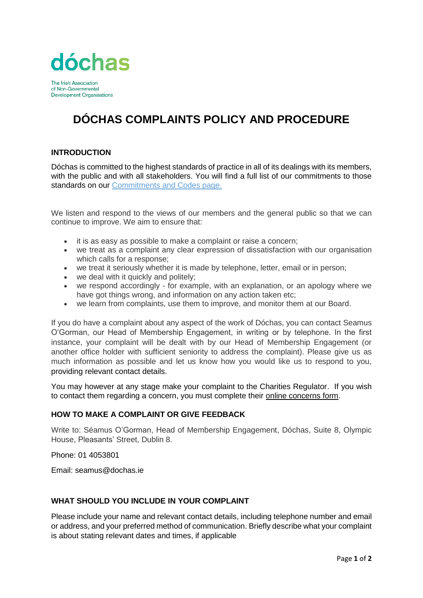

The Irish Association of Non-Governmental **Development Organisations** 

# **DÓCHAS COMPLAINTS POLICY AND PROCEDURE**

## **INTRODUCTION**

Dóchas is committed to the highest standards of practice in all of its dealings with its members, with the public and with all stakeholders. You will find a full list of our commitments to those standards on our [Commitments and Codes page.](https://www.dochas.ie/about/who-we-are/commitments-and-codes/)

We listen and respond to the views of our members and the general public so that we can continue to improve. We aim to ensure that:

- it is as easy as possible to make a complaint or raise a concern;
- we treat as a complaint any clear expression of dissatisfaction with our organisation which calls for a response;
- we treat it seriously whether it is made by telephone, letter, email or in person;
- we deal with it quickly and politely:
- we respond accordingly for example, with an explanation, or an apology where we have got things wrong, and information on any action taken etc;
- we learn from complaints, use them to improve, and monitor them at our Board.

If you do have a complaint about any aspect of the work of Dóchas, you can contact Seamus O'Gorman, our Head of Membership Engagement, in writing or by telephone. In the first instance, your complaint will be dealt with by our Head of Membership Engagement (or another office holder with sufficient seniority to address the complaint). Please give us as much information as possible and let us know how you would like us to respond to you, providing relevant contact details.

You may however at any stage make your complaint to the Charities Regulator. If you wish to contact them regarding a concern, you must complete their [online concerns form.](http://www.charitiesregulatoryauthority.ie/en/cra/pages/raise_a_concern_about_a_charity)

#### **HOW TO MAKE A COMPLAINT OR GIVE FEEDBACK**

Write to: Séamus O'Gorman, Head of Membership Engagement, Dóchas, Suite 8, Olympic House, Pleasants' Street, Dublin 8.

Phone: 01 4053801

Email: seamus@dochas.ie

### WHAT SHOULD YOU INCLUDE IN YOUR COMPLAINT

Please include your name and relevant contact details, including telephone number and email or address, and your preferred method of communication. Briefly describe what your complaint is about stating relevant dates and times, if applicable